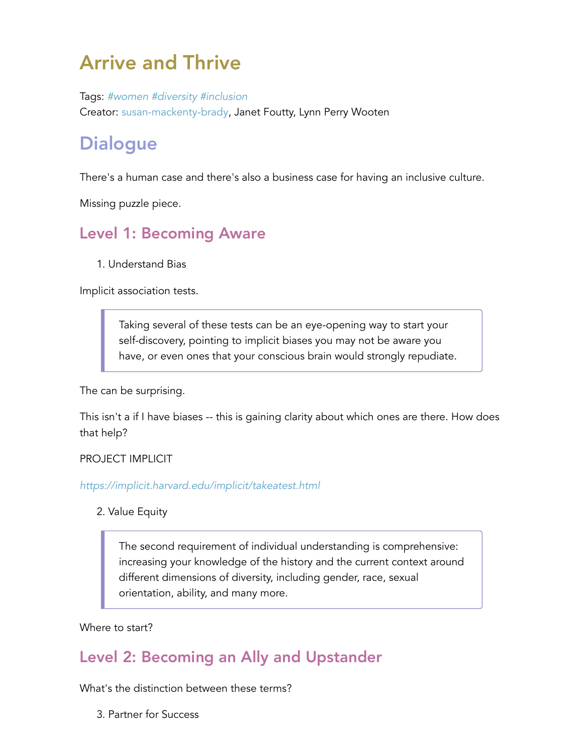# Arrive and Thrive

Tags: *#women #diversity #inclusion* Creator: susan-mackenty-brady, Janet Foutty, Lynn Perry Wooten

# **Dialogue**

There's a human case and there's also a business case for having an inclusive culture.

Missing puzzle piece.

## Level 1: Becoming Aware

1. Understand Bias

Implicit association tests.

Taking several of these tests can be an eye-opening way to start your self-discovery, pointing to implicit biases you may not be aware you have, or even ones that your conscious brain would strongly repudiate.

The can be surprising.

This isn't a if I have biases -- this is gaining clarity about which ones are there. How does that help?

#### PROJECT IMPLICIT

*<https://implicit.harvard.edu/implicit/takeatest.html>*

#### 2. Value Equity

The second requirement of individual understanding is comprehensive: increasing your knowledge of the history and the current context around different dimensions of diversity, including gender, race, sexual orientation, ability, and many more.

#### Where to start?

### Level 2: Becoming an Ally and Upstander

What's the distinction between these terms?

3. Partner for Success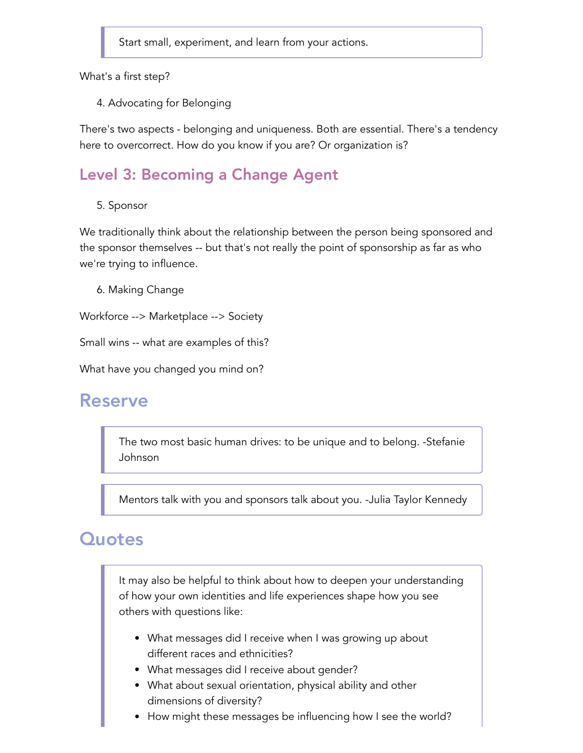Start small, experiment, and learn from your actions.

What's a first step?

4. Advocating for Belonging

There's two aspects - belonging and uniqueness. Both are essential. There's a tendency here to overcorrect. How do you know if you are? Or organization is?

### Level 3: Becoming a Change Agent

5. Sponsor

We traditionally think about the relationship between the person being sponsored and the sponsor themselves -- but that's not really the point of sponsorship as far as who we're trying to influence.

6. Making Change

Workforce --> Marketplace --> Society

Small wins -- what are examples of this?

What have you changed you mind on?

#### Reserve

The two most basic human drives: to be unique and to belong. -Stefanie Johnson

Mentors talk with you and sponsors talk about you. -Julia Taylor Kennedy

### **Quotes**

It may also be helpful to think about how to deepen your understanding of how your own identities and life experiences shape how you see others with questions like:

- What messages did I receive when I was growing up about different races and ethnicities?
- What messages did I receive about gender?
- What about sexual orientation, physical ability and other dimensions of diversity?
- How might these messages be influencing how I see the world?